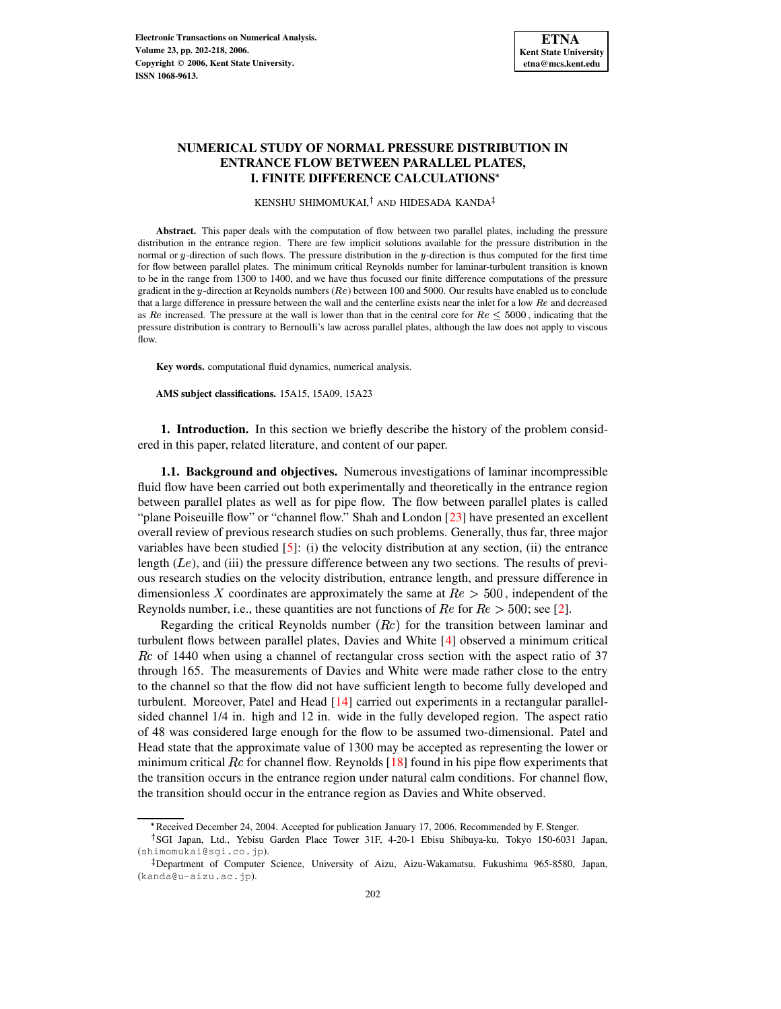# **NUMERICAL STUDY OF NORMAL PRESSURE DISTRIBUTION IN ENTRANCE FLOW BETWEEN PARALLEL PLATES, I. FINITE DIFFERENCE CALCULATIONS**

KENSHU SHIMOMUKAI,<sup>†</sup> AND HIDESADA KANDA

**Abstract.** This paper deals with the computation of flow between two parallel plates, including the pressure distribution in the entrance region. There are few implicit solutions available for the pressure distribution in the normal or  $y$ -direction of such flows. The pressure distribution in the  $y$ -direction is thus computed for the first time for flow between parallel plates. The minimum critical Reynolds number for laminar-turbulent transition is known to be in the range from 1300 to 1400, and we have thus focused our finite difference computations of the pressure gradient in the y-direction at Reynolds numbers ( $Re$ ) between 100 and 5000. Our results have enabled us to conclude that a large difference in pressure between the wall and the centerline exists near the inlet for a low  $Re$  and decreased as Re increased. The pressure at the wall is lower than that in the central core for  $Re \le 5000$ , indicating that the pressure distribution is contrary to Bernoulli's law across parallel plates, although the law does not apply to viscous flow.

**Key words.** computational fluid dynamics, numerical analysis.

**AMS subject classifications.** 15A15, 15A09, 15A23

**1. Introduction.** In this section we briefly describe the history of the problem considered in this paper, related literature, and content of our paper.

**1.1. Background and objectives.** Numerous investigations of laminar incompressible fluid flow have been carried out both experimentally and theoretically in the entrance region between parallel plates as well as for pipe flow. The flow between parallel plates is called "plane Poiseuille flow" or "channel flow." Shah and London [\[23\]](#page-16-0) have presented an excellent overall review of previous research studies on such problems. Generally, thus far, three major variables have been studied  $[5]$ : (i) the velocity distribution at any section, (ii) the entrance length  $(Le)$ , and (iii) the pressure difference between any two sections. The results of previous research studies on the velocity distribution, entrance length, and pressure difference in dimensionless X coordinates are approximately the same at  $Re > 500$ , independent of the Reynolds number, i.e., these quantities are not functions of  $Re$  for  $Re > 500$ ; see [\[2\]](#page-14-0).

Regarding the critical Reynolds number  $(Re)$  for the transition between laminar and turbulent flows between parallel plates, Davies and White [\[4\]](#page-14-1) observed a minimum critical  $Rc$  of 1440 when using a channel of rectangular cross section with the aspect ratio of 37 through 165. The measurements of Davies and White were made rather close to the entry to the channel so that the flow did not have sufficient length to become fully developed and turbulent. Moreover, Patel and Head [\[14\]](#page-15-1) carried out experiments in a rectangular parallelsided channel 1/4 in. high and 12 in. wide in the fully developed region. The aspect ratio of 48 was considered large enough for the flow to be assumed two-dimensional. Patel and Head state that the approximate value of 1300 may be accepted as representing the lower or minimum critical  $\mathbb{R}c$  for channel flow. Reynolds [\[18\]](#page-15-2) found in his pipe flow experiments that the transition occurs in the entrance region under natural calm conditions. For channel flow, the transition should occur in the entrance region as Davies and White observed.

<sup>#</sup> Received December 24, 2004. Accepted for publication January 17, 2006. Recommended by F. Stenger.

<sup>&</sup>lt;sup>†</sup>SGI Japan, Ltd., Yebisu Garden Place Tower 31F, 4-20-1 Ebisu Shibuya-ku, Tokyo 150-6031 Japan, (shimomukai@sgi.co.jp).

<sup>-</sup> Department of Computer Science, University of Aizu, Aizu-Wakamatsu, Fukushima 965-8580, Japan, (kanda@u-aizu.ac.jp).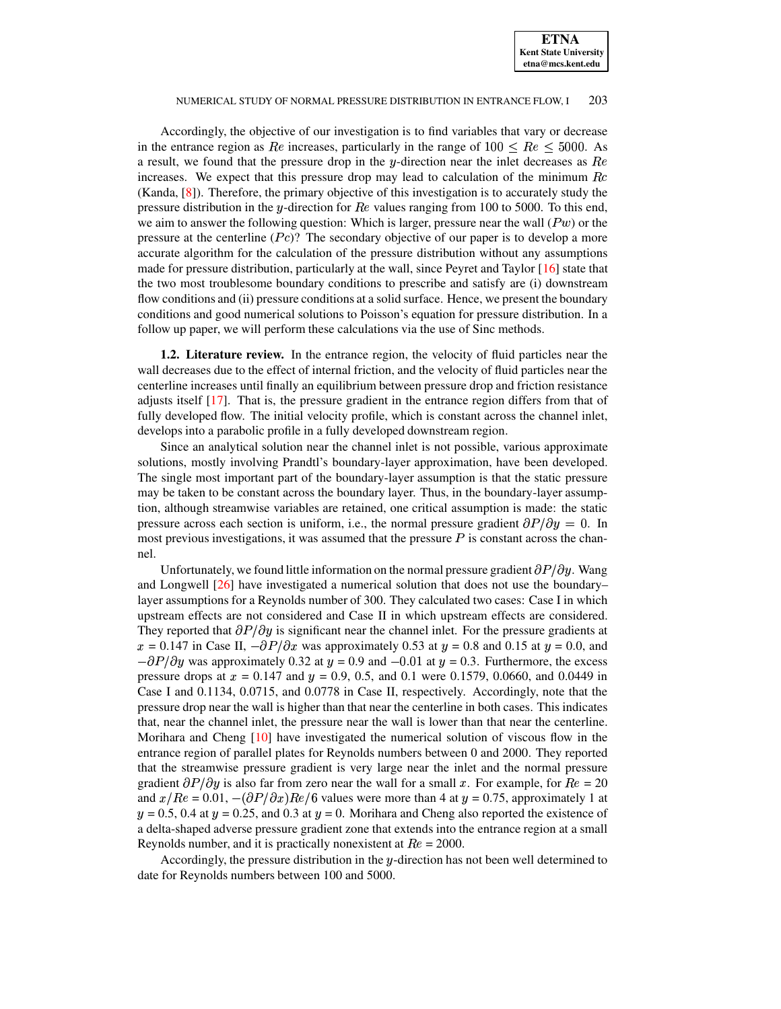Accordingly, the objective of our investigation is to find variables that vary or decrease in the entrance region as Re increases, particularly in the range of  $100 \leq Re \leq 5000$ . As a result, we found that the pressure drop in the  $y$ -direction near the inlet decreases as  $Re$ increases. We expect that this pressure drop may lead to calculation of the minimum  $Rc$ (Kanda, [\[8\]](#page-15-3)). Therefore, the primary objective of this investigation is to accurately study the pressure distribution in the y-direction for  $Re$  values ranging from 100 to 5000. To this end, we aim to answer the following question: Which is larger, pressure near the wall  $(Pw)$  or the pressure at the centerline  $(Pe)$ ? The secondary objective of our paper is to develop a more accurate algorithm for the calculation of the pressure distribution without any assumptions made for pressure distribution, particularly at the wall, since Peyret and Taylor [\[16\]](#page-15-4) state that the two most troublesome boundary conditions to prescribe and satisfy are (i) downstream flow conditions and (ii) pressure conditions at a solid surface. Hence, we present the boundary conditions and good numerical solutions to Poisson's equation for pressure distribution. In a follow up paper, we will perform these calculations via the use of Sinc methods.

**1.2. Literature review.** In the entrance region, the velocity of fluid particles near the wall decreases due to the effect of internal friction, and the velocity of fluid particles near the centerline increases until finally an equilibrium between pressure drop and friction resistance adjusts itself [\[17\]](#page-15-5). That is, the pressure gradient in the entrance region differs from that of fully developed flow. The initial velocity profile, which is constant across the channel inlet, develops into a parabolic profile in a fully developed downstream region.

Since an analytical solution near the channel inlet is not possible, various approximate solutions, mostly involving Prandtl's boundary-layer approximation, have been developed. The single most important part of the boundary-layer assumption is that the static pressure may be taken to be constant across the boundary layer. Thus, in the boundary-layer assumption, although streamwise variables are retained, one critical assumption is made: the static pressure across each section is uniform, i.e., the normal pressure gradient  $\partial P/\partial y = 0$ . In most previous investigations, it was assumed that the pressure  $P$  is constant across the channel.

Unfortunately, we found little information on the normal pressure gradient  $\partial P/\partial y$ . Wang and Longwell [\[26\]](#page-16-1) have investigated a numerical solution that does not use the boundary– layer assumptions for a Reynolds number of 300. They calculated two cases: Case I in which upstream effects are not considered and Case II in which upstream effects are considered. They reported that  $\partial P/\partial y$  is significant near the channel inlet. For the pressure gradients at  $x = 0.147$  in Case II,  $-\partial P/\partial x$  was approximately 0.53 at  $y = 0.8$  and 0.15 at  $y = 0.0$ , and  $-\partial P/\partial y$  was approximately 0.32 at  $y = 0.9$  and  $-0.01$  at  $y = 0.3$ . Furthermore, the excess pressure drops at  $x = 0.147$  and  $y = 0.9$ , 0.5, and 0.1 were 0.1579, 0.0660, and 0.0449 in Case I and 0.1134, 0.0715, and 0.0778 in Case II, respectively. Accordingly, note that the pressure drop near the wall is higher than that near the centerline in both cases. This indicates that, near the channel inlet, the pressure near the wall is lower than that near the centerline. Morihara and Cheng [\[10\]](#page-15-6) have investigated the numerical solution of viscous flow in the entrance region of parallel plates for Reynolds numbers between 0 and 2000. They reported that the streamwise pressure gradient is very large near the inlet and the normal pressure gradient  $\partial P/\partial y$  is also far from zero near the wall for a small x. For example, for  $Re = 20$ and  $x/Re = 0.01, -(\partial P/\partial x)Re/6$  values were more than 4 at  $y = 0.75$ , approximately 1 at  $y = 0.5, 0.4$  at  $y = 0.25$ , and 0.3 at  $y = 0$ . Morihara and Cheng also reported the existence of a delta-shaped adverse pressure gradient zone that extends into the entrance region at a small Reynolds number, and it is practically nonexistent at  $Re = 2000$ .

Accordingly, the pressure distribution in the  $y$ -direction has not been well determined to date for Reynolds numbers between 100 and 5000.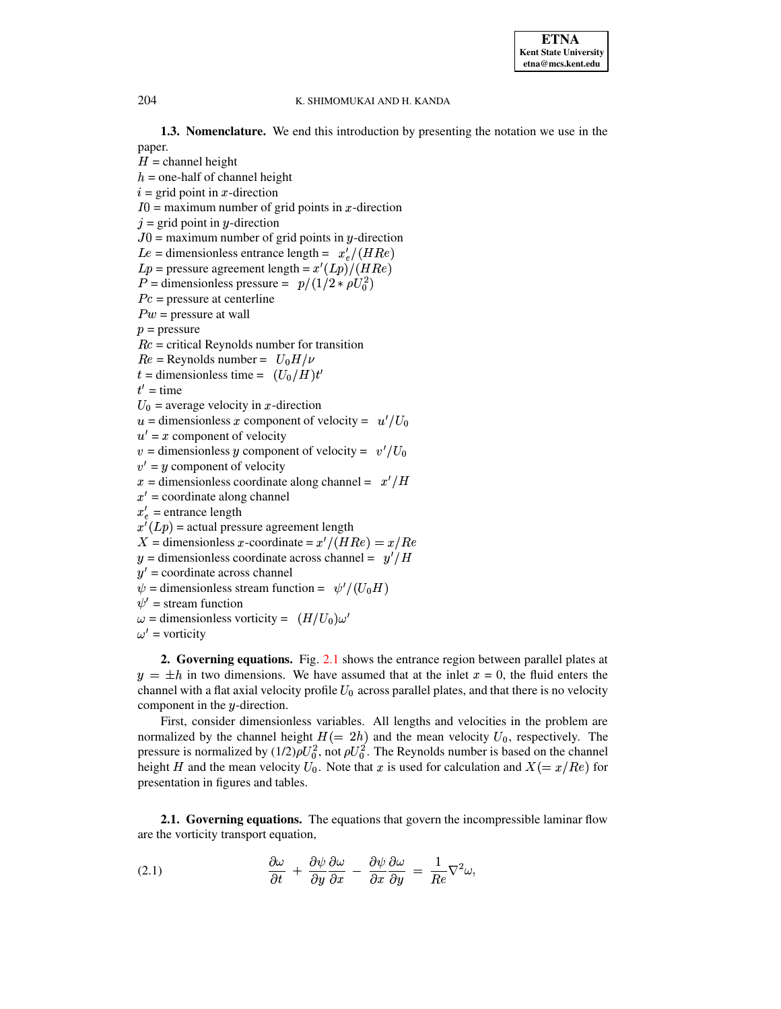**1.3. Nomenclature.** We end this introduction by presenting the notation we use in the paper.

 $H =$ channel height  $h$  = one-half of channel height  $i = \text{grid point in } x\text{-direction}$  $I0$  = maximum number of grid points in x-direction  $j =$  grid point in y-direction  $J0$  = maximum number of grid points in y-direction  $Le =$  dimensionless entrance length =  $x_e'/(HR_e)$  $L_p$  = pressure agreement length =  $x'(L_p)/(HR_e)$  $P =$  dimensionless pressure  $= p/(1/2 * \rho U_0^2)$  $Pc$  = pressure at centerline  $Pw$  = pressure at wall  $p =$ pressure  $Rc$  = critical Reynolds number for transition  $Re =$ Reynolds number =  $U_0H/\nu$  $t =$  dimensionless time =  $(U_0/H)t'$  $\blacksquare$  $t'$  = time  $U_0$  = average velocity in x-direction  $u =$  dimensionless x component of velocity =  $u'/U_0$  $u' = x$  component of velocity  $v =$  dimensionless y component of velocity =  $v'/U_0$  $v' = y$  component of velocity x = dimensionless coordinate along channel =  $x'/H$  $x'$  = coordinate along channel  $x'_e$  = entrance length  $x'(Lp)$  = actual pressure agreement length X = dimensionless x-coordinate =  $x'/(HRe) = x/Re$ y = dimensionless coordinate across channel =  $y'/H$  $y'$  = coordinate across channel  $\psi$  = dimensionless stream function =  $\psi'/(U_0H)$  $\psi'$  = stream function  $\omega$  = dimensionless vorticity =  $(H/U_0)\omega'$  $\omega'$  = vorticity

**2. Governing equations.** Fig. [2.1](#page-3-0) shows the entrance region between parallel plates at  $y = \pm h$  in two dimensions. We have assumed that at the inlet  $x = 0$ , the fluid enters the channel with a flat axial velocity profile  $U_0$  across parallel plates, and that there is no velocity component in the  $y$ -direction.

First, consider dimensionless variables. All lengths and velocities in the problem are normalized by the channel height  $H = 2h$  and the mean velocity  $U_0$ , respectively. The pressure is normalized by  $(1/2)\rho U_0^2$ , not  $\rho U_0^2$ . The Reynolds number is based on the channel height H and the mean velocity  $U_0$ . Note that x is used for calculation and  $X(=x/Re)$  for presentation in figures and tables.

**2.1. Governing equations.** The equations that govern the incompressible laminar flow are the vorticity transport equation,

<span id="page-2-0"></span>(2.1) 
$$
\frac{\partial \omega}{\partial t} + \frac{\partial \psi}{\partial y} \frac{\partial \omega}{\partial x} - \frac{\partial \psi}{\partial x} \frac{\partial \omega}{\partial y} = \frac{1}{Re} \nabla^2 \omega,
$$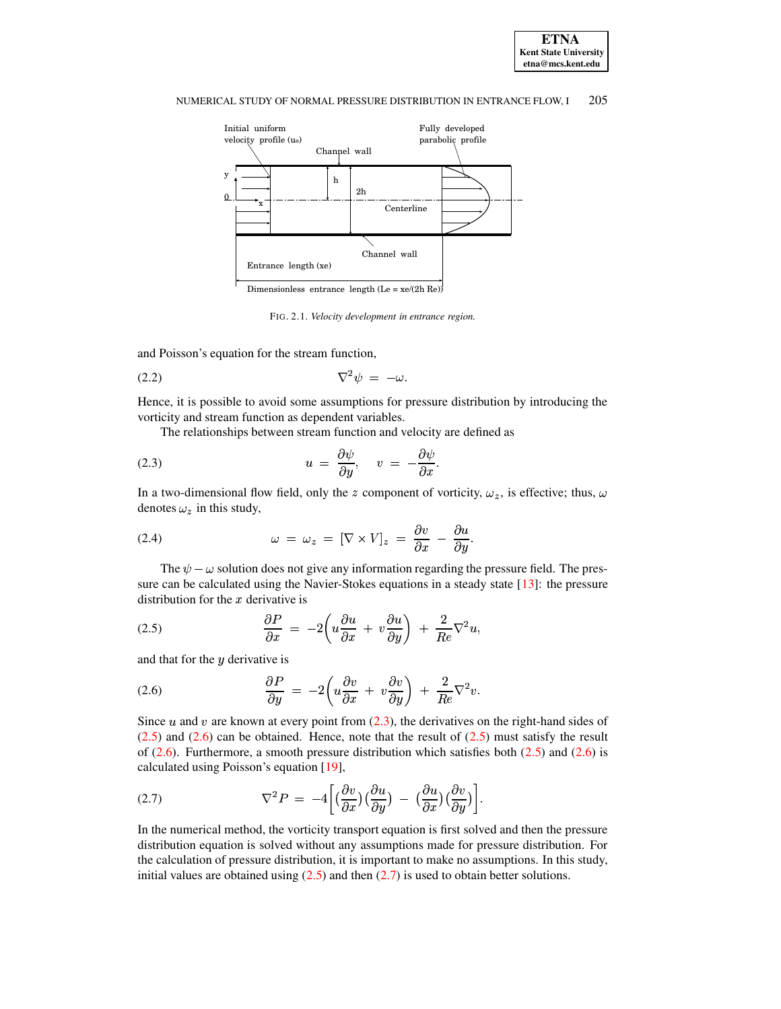



<span id="page-3-5"></span><span id="page-3-0"></span>FIG. 2.1. *Velocity development in entrance region.*

and Poisson's equation for the stream function,

$$
\nabla^2 \psi = -\omega.
$$

Hence, it is possible to avoid some assumptions for pressure distribution by introducing the vorticity and stream function as dependent variables.

<span id="page-3-1"></span>The relationships between stream function and velocity are defined as

(2.3) 
$$
u = \frac{\partial \psi}{\partial y}, \quad v = -\frac{\partial \psi}{\partial x}.
$$

In a two-dimensional flow field, only the z component of vorticity,  $\omega_z$ , is effective; thus,  $\omega$ denotes  $\omega_z$  in this study,

<span id="page-3-6"></span>(2.4) 
$$
\omega = \omega_z = [\nabla \times V]_z = \frac{\partial v}{\partial x} - \frac{\partial u}{\partial y}.
$$

The  $\psi - \omega$  solution does not give any information regarding the pressure field. The pressure can be calculated using the Navier-Stokes equations in a steady state  $[13]$ : the pressure distribution for the  $x$  derivative is

<span id="page-3-2"></span>(2.5) 
$$
\frac{\partial P}{\partial x} = -2 \left( u \frac{\partial u}{\partial x} + v \frac{\partial u}{\partial y} \right) + \frac{2}{Re} \nabla^2 u,
$$

and that for the  $y$  derivative is

<span id="page-3-3"></span>(2.6) 
$$
\frac{\partial P}{\partial y} = -2 \left( u \frac{\partial v}{\partial x} + v \frac{\partial v}{\partial y} \right) + \frac{2}{Re} \nabla^2 v.
$$

Since  $u$  and  $v$  are known at every point from [\(2.3\)](#page-3-1), the derivatives on the right-hand sides of  $(2.5)$  and  $(2.6)$  can be obtained. Hence, note that the result of  $(2.5)$  must satisfy the result of  $(2.6)$ . Furthermore, a smooth pressure distribution which satisfies both  $(2.5)$  and  $(2.6)$  is calculated using Poisson's equation [\[19\]](#page-15-8),

<span id="page-3-4"></span>(2.7) 
$$
\nabla^2 P = -4 \left[ \left( \frac{\partial v}{\partial x} \right) \left( \frac{\partial u}{\partial y} \right) - \left( \frac{\partial u}{\partial x} \right) \left( \frac{\partial v}{\partial y} \right) \right].
$$

In the numerical method, the vorticity transport equation is first solved and then the pressure distribution equation is solved without any assumptions made for pressure distribution. For the calculation of pressure distribution, it is important to make no assumptions. In this study, initial values are obtained using  $(2.5)$  and then  $(2.7)$  is used to obtain better solutions.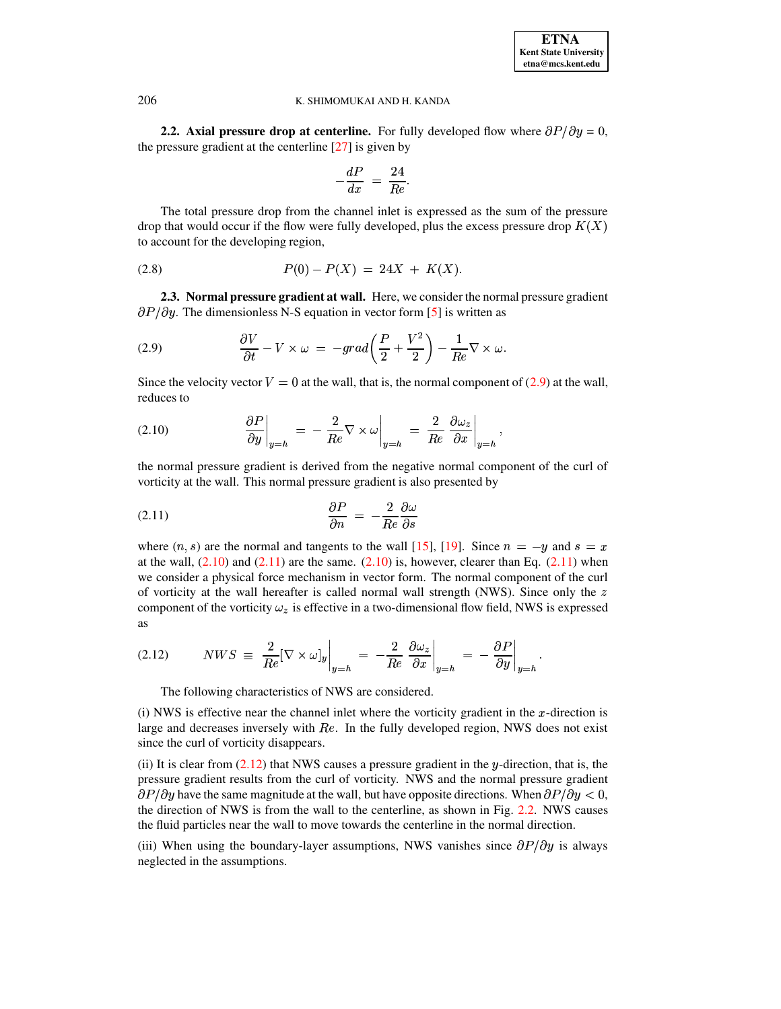

**2.2.** Axial pressure drop at centerline. For fully developed flow where  $\partial P/\partial y = 0$ , the pressure gradient at the centerline [\[27\]](#page-16-2) is given by

$$
-\frac{dP}{dx} = \frac{24}{Re}.
$$

The total pressure drop from the channel inlet is expressed as the sum of the pressure drop that would occur if the flow were fully developed, plus the excess pressure drop  $K(X)$ to account for the developing region,

<span id="page-4-4"></span>
$$
(2.8) \tP(0) - P(X) = 24X + K(X).
$$

**2.3. Normal pressure gradient at wall.** Here, we consider the normal pressure gradient  $\partial P/\partial y$ . The dimensionless N-S equation in vector form [\[5\]](#page-15-0) is written as

<span id="page-4-0"></span>(2.9) 
$$
\frac{\partial V}{\partial t} - V \times \omega = -grad\left(\frac{P}{2} + \frac{V^2}{2}\right) - \frac{1}{Re}\nabla \times \omega.
$$

Since the velocity vector  $V = 0$  at the wall, that is, the normal component of [\(2.9\)](#page-4-0) at the wall, reduces to

<span id="page-4-1"></span>(2.10) 
$$
\frac{\partial P}{\partial y}\Big|_{y=h} = -\frac{2}{Re} \nabla \times \omega\Big|_{y=h} = \frac{2}{Re} \frac{\partial \omega_z}{\partial x}\Big|_{y=h},
$$
  
the normal pressure gradient is derived from the negative normal component of the curl of

vorticity at the wall. This normal pressure gradient is also presented by

<span id="page-4-2"></span>
$$
\frac{\partial P}{\partial n} = -\frac{2}{Re} \frac{\partial \omega}{\partial s}
$$

where  $(n, s)$  are the normal and tangents to the wall [\[15\]](#page-15-9), [\[19\]](#page-15-8). Since  $n = -y$  and  $s = x$ at the wall,  $(2.10)$  and  $(2.11)$  are the same.  $(2.10)$  is, however, clearer than Eq.  $(2.11)$  when we consider a physical force mechanism in vector form. The normal component of the curl of vorticity at the wall hereafter is called normal wall strength (NWS). Since only the  $z$ component of the vorticity  $\omega_z$  is effective in a two-dimensional flow field, NWS is expressed as  $\overline{a}$ 

<span id="page-4-3"></span>(2.12) 
$$
NWS \equiv \frac{2}{Re} [\nabla \times \omega]_y \Big|_{y=h} = -\frac{2}{Re} \frac{\partial \omega_z}{\partial x} \Big|_{y=h} = -\frac{\partial P}{\partial y} \Big|_{y=h}.
$$
  
The following characteristics of NWS are considered.

(i) NWS is effective near the channel inlet where the vorticity gradient in the  $x$ -direction is large and decreases inversely with  $Re$ . In the fully developed region, NWS does not exist since the curl of vorticity disappears.

(ii) It is clear from  $(2.12)$  that NWS causes a pressure gradient in the y-direction, that is, the pressure gradient results from the curl of vorticity. NWS and the normal pressure gradient  $\partial P/\partial y$  have the same magnitude at the wall, but have opposite directions. When  $\partial P/\partial y < 0$ , the direction of NWS is from the wall to the centerline, as shown in Fig. [2.2.](#page-5-0) NWS causes the fluid particles near the wall to move towards the centerline in the normal direction.

(iii) When using the boundary-layer assumptions, NWS vanishes since  $\partial P/\partial y$  is always neglected in the assumptions.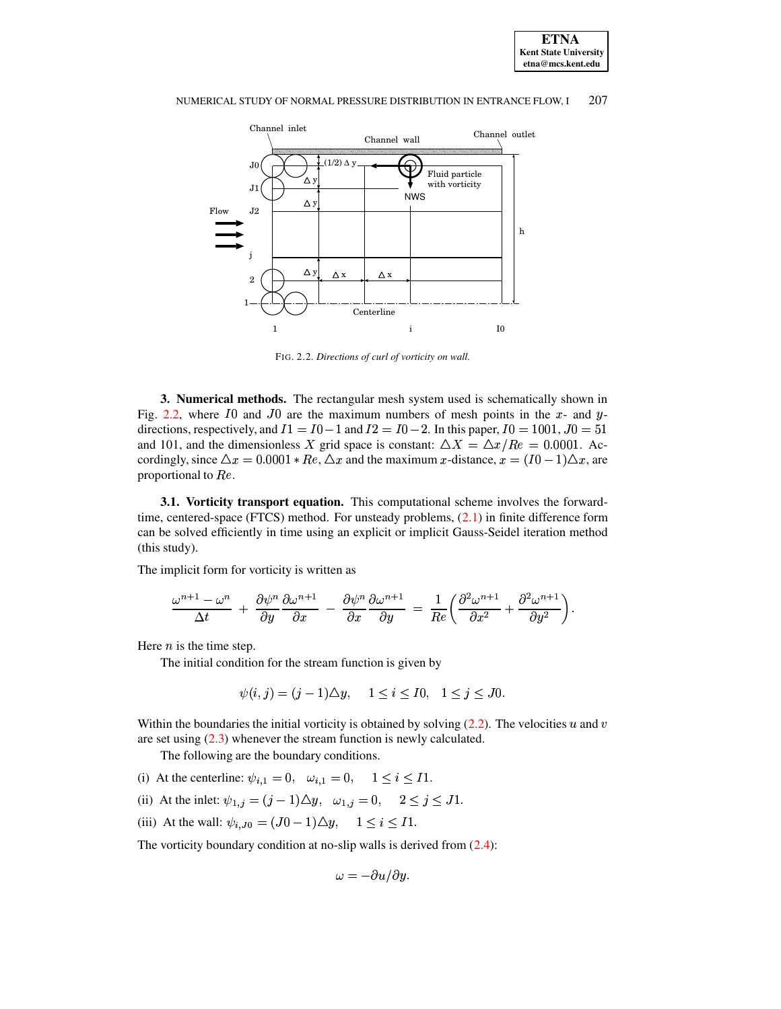



<span id="page-5-0"></span>FIG. 2.2. Directions of curl of vorticity on wall.

3. Numerical methods. The rectangular mesh system used is schematically shown in Fig. 2.2, where I0 and J0 are the maximum numbers of mesh points in the x- and ydirections, respectively, and  $I1 = I0 - 1$  and  $I2 = I0 - 2$ . In this paper,  $I0 = 1001$ ,  $J0 = 51$ and 101, and the dimensionless X grid space is constant:  $\Delta X = \Delta x/Re = 0.0001$ . Accordingly, since  $\Delta x = 0.0001 * Re$ ,  $\Delta x$  and the maximum x-distance,  $x = (I0 - 1)\Delta x$ , are proportional to Re.

3.1. Vorticity transport equation. This computational scheme involves the forwardtime, centered-space (FTCS) method. For unsteady problems,  $(2.1)$  in finite difference form can be solved efficiently in time using an explicit or implicit Gauss-Seidel iteration method (this study).

The implicit form for vorticity is written as

$$
\frac{\omega^{n+1}-\omega^n}{\Delta t}+\frac{\partial\psi^n}{\partial y}\frac{\partial\omega^{n+1}}{\partial x}-\frac{\partial\psi^n}{\partial x}\frac{\partial\omega^{n+1}}{\partial y}=\frac{1}{Re}\bigg(\frac{\partial^2\omega^{n+1}}{\partial x^2}+\frac{\partial^2\omega^{n+1}}{\partial y^2}\bigg).
$$

Here  $n$  is the time step.

The initial condition for the stream function is given by

$$
\psi(i, j) = (j - 1)\Delta y, \quad 1 \leq i \leq 10, \quad 1 \leq j \leq J0.
$$

Within the boundaries the initial vorticity is obtained by solving  $(2.2)$ . The velocities u and v are set using  $(2.3)$  whenever the stream function is newly calculated.

The following are the boundary conditions.

- (i) At the centerline:  $\psi_{i,1} = 0$ ,  $\omega_{i,1} = 0$ ,  $1 \le i \le I1$ .
- (ii) At the inlet:  $\psi_{1,j} = (j-1)\Delta y$ ,  $\omega_{1,j} = 0$ ,  $2 \le j \le J1$ .
- (iii) At the wall:  $\psi_{i,J0} = (J0-1)\Delta y$ ,  $1 \le i \le I1$ .

The vorticity boundary condition at no-slip walls is derived from  $(2.4)$ :

$$
\omega=-\partial u/\partial y.
$$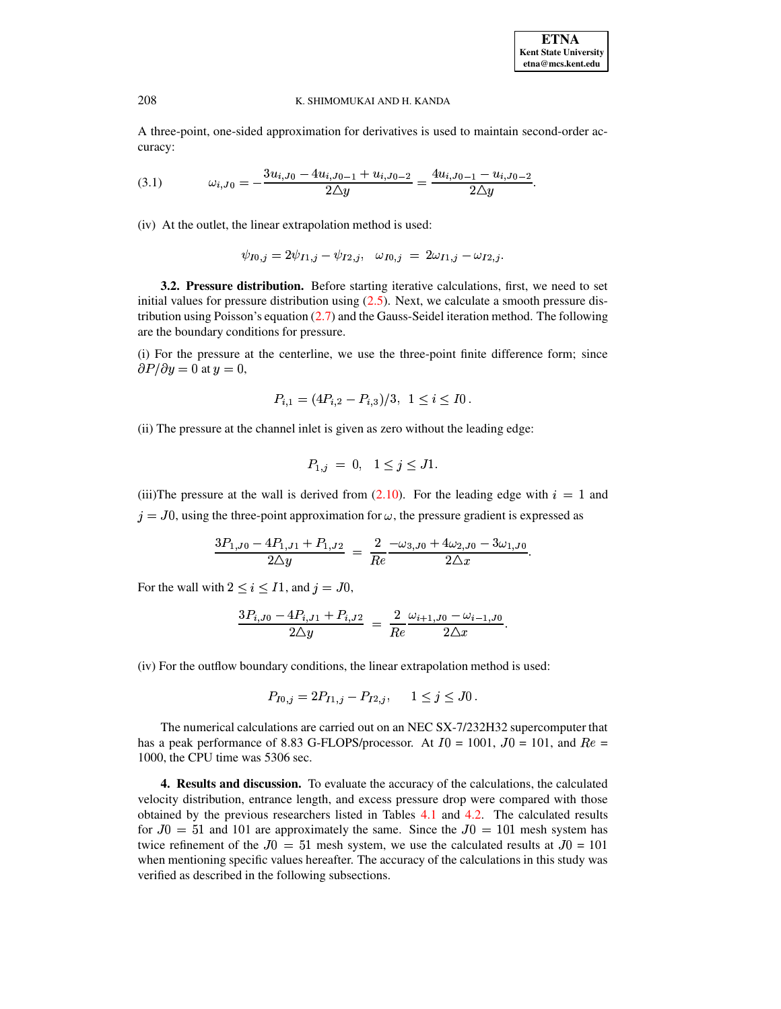A three-point, one-sided approximation for derivatives is used to maintain second-order accuracy:

<span id="page-6-0"></span>
$$
(3.1) \t\t\t \omega_{i,J0} = -\frac{3u_{i,J0} - 4u_{i,J0-1} + u_{i,J0-2}}{2\Delta y} = \frac{4u_{i,J0-1} - u_{i,J0-2}}{2\Delta y}.
$$

(iv) At the outlet, the linear extrapolation method is used:

$$
\psi_{I0,j}=2\psi_{I1,j}-\psi_{I2,j},\ \ \, \omega_{I0,j}\;=\;2\omega_{I1,j}-\omega_{I2,j}.
$$

**3.2. Pressure distribution.** Before starting iterative calculations, first, we need to set initial values for pressure distribution using [\(2.5\)](#page-3-2). Next, we calculate a smooth pressure distribution using Poisson's equation [\(2.7\)](#page-3-4) and the Gauss-Seidel iteration method. The following are the boundary conditions for pressure.

(i) For the pressure at the centerline, we use the three-point finite difference form; since  $\partial P/\partial y = 0$  at  $y = 0$ ,

$$
P_{i,1} = (4P_{i,2} - P_{i,3})/3, \ \ 1 \leq i \leq I0 \, .
$$

(ii) The pressure at the channel inlet is given as zero without the leading edge:

$$
P_{1,j} = 0, \quad 1 \leq j \leq J1.
$$

(iii)The pressure at the wall is derived from  $(2.10)$ . For the leading edge with  $i = 1$  and  $j = J0$ , using the three-point approximation for  $\omega$ , the pressure gradient is expressed as

$$
\frac{3P_{1,J0}-4P_{1,J1}+P_{1,J2}}{2\Delta y} = \frac{2}{Re}\frac{-\omega_{3,J0}+4\omega_{2,J0}-3\omega_{1,J0}}{2\Delta x}.
$$

For the wall with  $2 \le i \le I1$ , and  $j = J0$ ,

$$
\frac{3P_{i,J0}-4P_{i,J1}+P_{i,J2}}{2\Delta y} = \frac{2}{Re}\frac{\omega_{i+1,J0}-\omega_{i-1,J0}}{2\Delta x}.
$$

(iv) For the outflow boundary conditions, the linear extrapolation method is used:

$$
P_{I0,j} = 2P_{I1,j} - P_{I2,j}, \quad 1 \le j \le J0.
$$

The numerical calculations are carried out on an NEC SX-7/232H32 supercomputer that has a peak performance of 8.83 G-FLOPS/processor. At  $I0 = 1001$ ,  $J0 = 101$ , and  $Re =$ 1000, the CPU time was 5306 sec.

**4. Results and discussion.** To evaluate the accuracy of the calculations, the calculated velocity distribution, entrance length, and excess pressure drop were compared with those obtained by the previous researchers listed in Tables [4.1](#page-7-0) and [4.2.](#page-8-0) The calculated results for  $J0 = 51$  and 101 are approximately the same. Since the  $J0 = 101$  mesh system has twice refinement of the  $J0 = 51$  mesh system, we use the calculated results at  $J0 = 101$ when mentioning specific values hereafter. The accuracy of the calculations in this study was verified as described in the following subsections.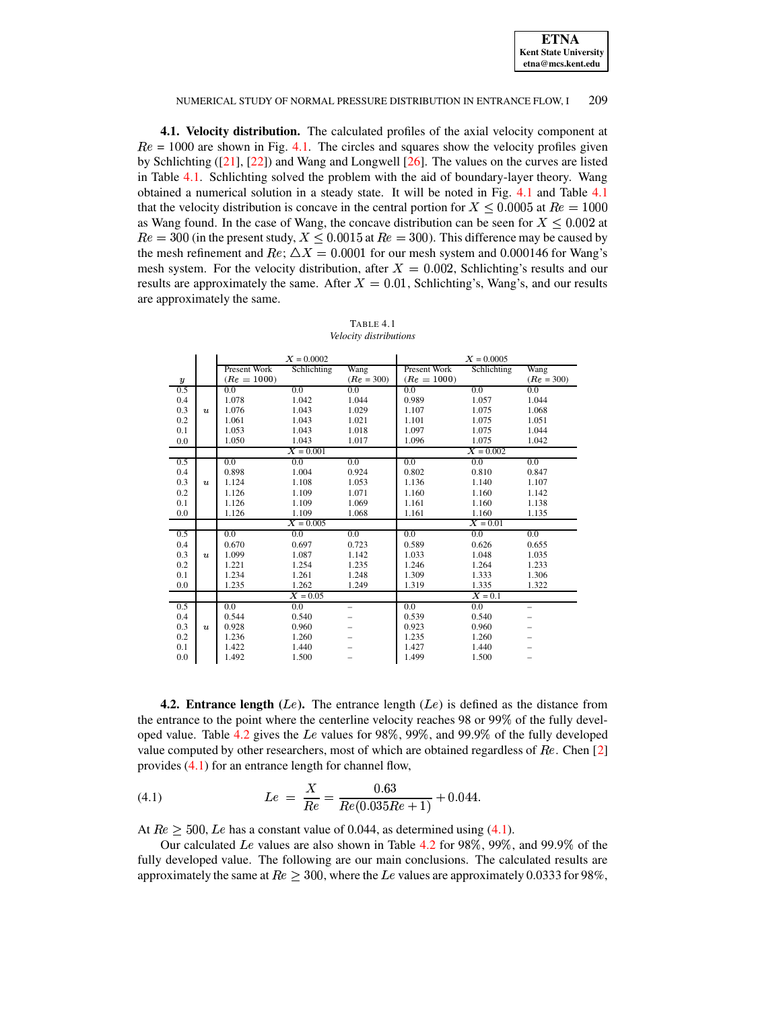| <b>ETNA</b>                  |
|------------------------------|
| <b>Kent State University</b> |
| etna@mcs.kent.edu            |

4.1. Velocity distribution. The calculated profiles of the axial velocity component at  $Re = 1000$  are shown in Fig. 4.1. The circles and squares show the velocity profiles given by Schlichting  $([21], [22])$  and Wang and Longwell  $[26]$ . The values on the curves are listed in Table 4.1. Schlichting solved the problem with the aid of boundary-layer theory. Wang obtained a numerical solution in a steady state. It will be noted in Fig. 4.1 and Table 4.1 that the velocity distribution is concave in the central portion for  $X \leq 0.0005$  at  $Re = 1000$ as Wang found. In the case of Wang, the concave distribution can be seen for  $X \leq 0.002$  at  $Re = 300$  (in the present study,  $X \le 0.0015$  at  $Re = 300$ ). This difference may be caused by the mesh refinement and Re;  $\Delta X = 0.0001$  for our mesh system and 0.000146 for Wang's mesh system. For the velocity distribution, after  $X = 0.002$ , Schlichting's results and our results are approximately the same. After  $X = 0.01$ , Schlichting's, Wang's, and our results are approximately the same.

<span id="page-7-0"></span>

|     |                  |               | $X = 0.0002$ |                          |               | $X = 0.0005$ |                   |  |
|-----|------------------|---------------|--------------|--------------------------|---------------|--------------|-------------------|--|
|     |                  | Present Work  | Schlichting  | Wang                     | Present Work  | Schlichting  | Wang              |  |
| y   |                  | $(Re = 1000)$ |              | $(Re = 300)$             | $(Re = 1000)$ |              | $(Re = 300)$      |  |
| 0.5 |                  | 0.0           | 0.0          | 0.0                      | 0.0           | 0.0          | 0.0               |  |
| 0.4 |                  | 1.078         | 1.042        | 1.044                    | 0.989         | 1.057        | 1.044             |  |
| 0.3 | $\boldsymbol{u}$ | 1.076         | 1.043        | 1.029                    | 1.107         | 1.075        | 1.068             |  |
| 0.2 |                  | 1.061         | 1.043        | 1.021                    | 1.101         | 1.075        | 1.051             |  |
| 0.1 |                  | 1.053         | 1.043        | 1.018                    | 1.097         | 1.075        | 1.044             |  |
| 0.0 |                  | 1.050         | 1.043        | 1.017                    | 1.096         | 1.075        | 1.042             |  |
|     |                  |               | $X = 0.001$  |                          |               | $X = 0.002$  |                   |  |
| 0.5 |                  | 0.0           | 0.0          | 0.0                      | 0.0           | 0.0          | 0.0               |  |
| 0.4 |                  | 0.898         | 1.004        | 0.924                    | 0.802         | 0.810        | 0.847             |  |
| 0.3 | $\boldsymbol{u}$ | 1.124         | 1.108        | 1.053                    | 1.136         | 1.140        | 1.107             |  |
| 0.2 |                  | 1.126         | 1.109        | 1.071                    | 1.160         | 1.160        | 1.142             |  |
| 0.1 |                  | 1.126         | 1.109        | 1.069                    | 1.161         | 1.160        | 1.138             |  |
| 0.0 |                  | 1.126         | 1.109        | 1.068                    | 1.161         | 1.160        | 1.135             |  |
|     |                  |               | $X = 0.005$  |                          |               | $X = 0.01$   |                   |  |
| 0.5 |                  | 0.0           | 0.0          | 0.0                      | 0.0           | 0.0          | 0.0               |  |
| 0.4 |                  | 0.670         | 0.697        | 0.723                    | 0.589         | 0.626        | 0.655             |  |
| 0.3 | $\boldsymbol{u}$ | 1.099         | 1.087        | 1.142                    | 1.033         | 1.048        | 1.035             |  |
| 0.2 |                  | 1.221         | 1.254        | 1.235                    | 1.246         | 1.264        | 1.233             |  |
| 0.1 |                  | 1.234         | 1.261        | 1.248                    | 1.309         | 1.333        | 1.306             |  |
| 0.0 |                  | 1.235         | 1.262        | 1.249                    | 1.319         | 1.335        | 1.322             |  |
|     |                  |               | $X = 0.05$   |                          | $X = 0.1$     |              |                   |  |
| 0.5 |                  | 0.0           | 0.0          | $\overline{\phantom{0}}$ | 0.0           | 0.0          | $\qquad \qquad -$ |  |
| 0.4 |                  | 0.544         | 0.540        |                          | 0.539         | 0.540        |                   |  |
| 0.3 | $\boldsymbol{u}$ | 0.928         | 0.960        |                          | 0.923         | 0.960        |                   |  |
| 0.2 |                  | 1.236         | 1.260        |                          | 1.235         | 1.260        |                   |  |
| 0.1 |                  | 1.422         | 1.440        |                          | 1.427         | 1.440        |                   |  |
| 0.0 |                  | 1.492         | 1.500        |                          | 1.499         | 1.500        |                   |  |

TABLE 4.1 Velocity distributions

**4.2. Entrance length** (Le). The entrance length (Le) is defined as the distance from the entrance to the point where the centerline velocity reaches 98 or 99% of the fully developed value. Table 4.2 gives the Le values for 98%, 99%, and 99.9% of the fully developed value computed by other researchers, most of which are obtained regardless of  $Re$ . Chen [2] provides  $(4.1)$  for an entrance length for channel flow,

<span id="page-7-1"></span>(4.1) 
$$
Le = \frac{X}{Re} = \frac{0.63}{Re(0.035Re + 1)} + 0.044.
$$

At  $Re > 500$ , Le has a constant value of 0.044, as determined using (4.1).

Our calculated Le values are also shown in Table 4.2 for 98%, 99%, and 99.9% of the fully developed value. The following are our main conclusions. The calculated results are approximately the same at  $Re \geq 300$ , where the Le values are approximately 0.0333 for 98%,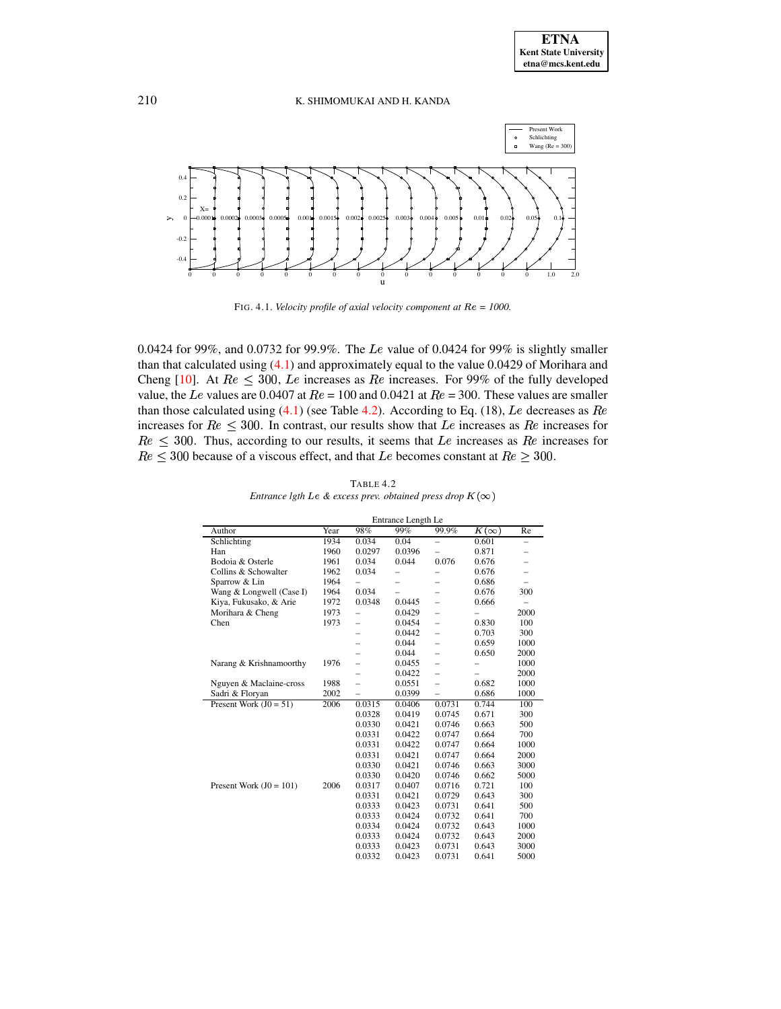

<span id="page-8-1"></span>FIG. 4.1. Velocity profile of axial velocity component at  $Re = 1000$ .

0.0424 for 99%, and 0.0732 for 99.9%. The Le value of 0.0424 for 99% is slightly smaller than that calculated using  $(4.1)$  and approximately equal to the value 0.0429 of Morihara and Cheng [10]. At  $Re \leq 300$ , Le increases as Re increases. For 99% of the fully developed value, the Le values are 0.0407 at  $Re = 100$  and 0.0421 at  $Re = 300$ . These values are smaller than those calculated using  $(4.1)$  (see Table 4.2). According to Eq. (18), Le decreases as Re increases for  $Re \leq 300$ . In contrast, our results show that Le increases as Re increases for  $Re \leq 300$ . Thus, according to our results, it seems that Le increases as Re increases for  $Re \leq 300$  because of a viscous effect, and that Le becomes constant at  $Re \geq 300$ .

<span id="page-8-0"></span>

|                           | Entrance Length Le |        |                          |                          |             |                          |
|---------------------------|--------------------|--------|--------------------------|--------------------------|-------------|--------------------------|
| Author                    | Year               | 98%    | 99%                      | 99.9%                    | $K(\infty)$ | Re                       |
| Schlichting               | 1934               | 0.034  | 0.04                     | $\overline{\phantom{0}}$ | 0.601       | $\overline{\phantom{0}}$ |
| Han                       | 1960               | 0.0297 | 0.0396                   | -                        | 0.871       |                          |
| Bodoia & Osterle          | 1961               | 0.034  | 0.044                    | 0.076                    | 0.676       | -                        |
| Collins & Schowalter      | 1962               | 0.034  | $\overline{\phantom{0}}$ | -                        | 0.676       | $\overline{\phantom{0}}$ |
| Sparrow & Lin             | 1964               |        | -                        | -                        | 0.686       | $\overline{\phantom{0}}$ |
| Wang & Longwell (Case I)  | 1964               | 0.034  | $\equiv$                 | -                        | 0.676       | 300                      |
| Kiya, Fukusako, & Arie    | 1972               | 0.0348 | 0.0445                   | -                        | 0.666       | -                        |
| Morihara & Cheng          | 1973               |        | 0.0429                   | -                        |             | 2000                     |
| Chen                      | 1973               |        | 0.0454                   | -                        | 0.830       | 100                      |
|                           |                    |        | 0.0442                   | $\overline{\phantom{0}}$ | 0.703       | 300                      |
|                           |                    |        | 0.044                    | L,                       | 0.659       | 1000                     |
|                           |                    |        | 0.044                    | -                        | 0.650       | 2000                     |
| Narang & Krishnamoorthy   | 1976               | -      | 0.0455                   | -                        | -           | 1000                     |
|                           |                    |        | 0.0422                   | $\overline{\phantom{0}}$ | -           | 2000                     |
| Nguyen & Maclaine-cross   | 1988               | -      | 0.0551                   | -                        | 0.682       | 1000                     |
| Sadri & Floryan           | 2002               | L,     | 0.0399                   | ÷,                       | 0.686       | 1000                     |
| Present Work $(J0 = 51)$  | 2006               | 0.0315 | 0.0406                   | 0.0731                   | 0.744       | 100                      |
|                           |                    | 0.0328 | 0.0419                   | 0.0745                   | 0.671       | 300                      |
|                           |                    | 0.0330 | 0.0421                   | 0.0746                   | 0.663       | 500                      |
|                           |                    | 0.0331 | 0.0422                   | 0.0747                   | 0.664       | 700                      |
|                           |                    | 0.0331 | 0.0422                   | 0.0747                   | 0.664       | 1000                     |
|                           |                    | 0.0331 | 0.0421                   | 0.0747                   | 0.664       | 2000                     |
|                           |                    | 0.0330 | 0.0421                   | 0.0746                   | 0.663       | 3000                     |
|                           |                    | 0.0330 | 0.0420                   | 0.0746                   | 0.662       | 5000                     |
| Present Work $(J0 = 101)$ | 2006               | 0.0317 | 0.0407                   | 0.0716                   | 0.721       | 100                      |
|                           |                    | 0.0331 | 0.0421                   | 0.0729                   | 0.643       | 300                      |
|                           |                    | 0.0333 | 0.0423                   | 0.0731                   | 0.641       | 500                      |
|                           |                    | 0.0333 | 0.0424                   | 0.0732                   | 0.641       | 700                      |
|                           |                    | 0.0334 | 0.0424                   | 0.0732                   | 0.643       | 1000                     |
|                           |                    | 0.0333 | 0.0424                   | 0.0732                   | 0.643       | 2000                     |
|                           |                    | 0.0333 | 0.0423                   | 0.0731                   | 0.643       | 3000                     |
|                           |                    | 0.0332 | 0.0423                   | 0.0731                   | 0.641       | 5000                     |

TABLE 4.2 Entrance lgth Le & excess prev. obtained press drop  $K(\infty)$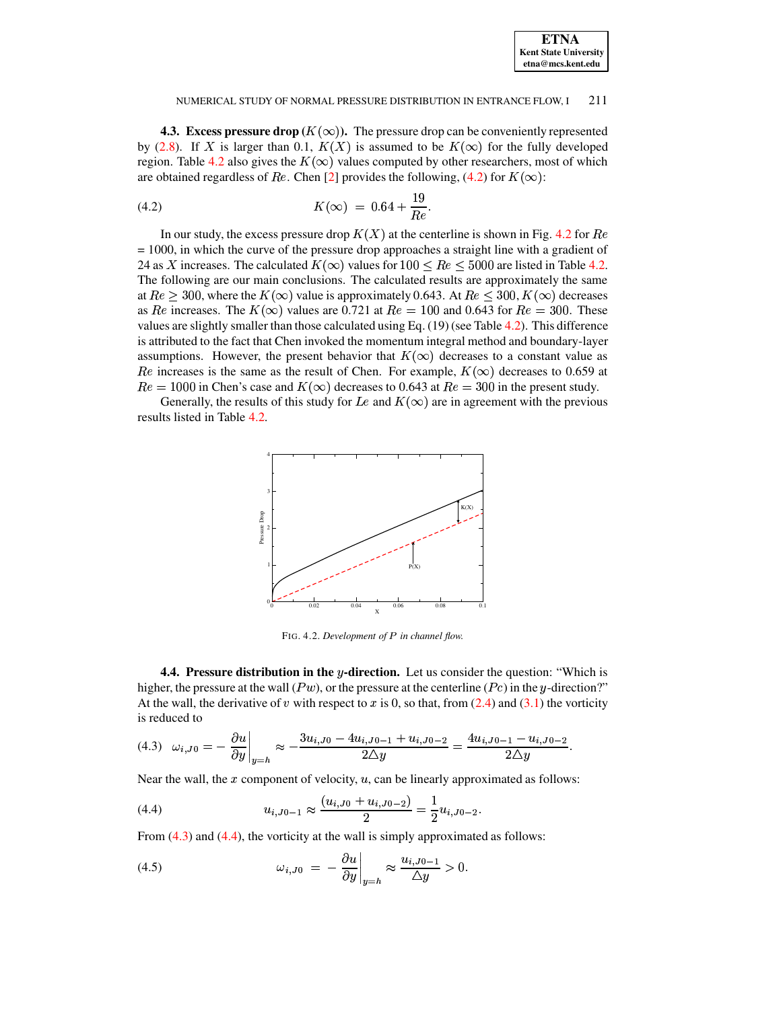| <b>ETNA</b>                  |
|------------------------------|
| <b>Kent State University</b> |
| etna@mcs.kent.edu            |

**4.3. Excess pressure drop**  $(K(\infty))$ . The pressure drop can be conveniently represented by (2.8). If X is larger than 0.1,  $K(X)$  is assumed to be  $K(\infty)$  for the fully developed region. Table 4.2 also gives the  $K(\infty)$  values computed by other researchers, most of which are obtained regardless of Re. Chen [2] provides the following, (4.2) for  $K(\infty)$ :

<span id="page-9-0"></span>(4.2) 
$$
K(\infty) = 0.64 + \frac{19}{Re}
$$

In our study, the excess pressure drop  $K(X)$  at the centerline is shown in Fig. 4.2 for Re  $= 1000$ , in which the curve of the pressure drop approaches a straight line with a gradient of 24 as X increases. The calculated  $K(\infty)$  values for  $100 \le Re \le 5000$  are listed in Table 4.2. The following are our main conclusions. The calculated results are approximately the same at  $Re > 300$ , where the  $K(\infty)$  value is approximately 0.643. At  $Re \leq 300$ ,  $K(\infty)$  decreases as Re increases. The  $K(\infty)$  values are 0.721 at  $Re = 100$  and 0.643 for  $Re = 300$ . These values are slightly smaller than those calculated using Eq.  $(19)$  (see Table 4.2). This difference is attributed to the fact that Chen invoked the momentum integral method and boundary-layer assumptions. However, the present behavior that  $K(\infty)$  decreases to a constant value as Re increases is the same as the result of Chen. For example,  $K(\infty)$  decreases to 0.659 at  $Re = 1000$  in Chen's case and  $K(\infty)$  decreases to 0.643 at  $Re = 300$  in the present study.

Generally, the results of this study for Le and  $K(\infty)$  are in agreement with the previous results listed in Table 4.2.



<span id="page-9-1"></span>FIG. 4.2. Development of P in channel flow.

**4.4. Pressure distribution in the y-direction.** Let us consider the question: "Which is higher, the pressure at the wall  $(Pw)$ , or the pressure at the centerline  $(Pc)$  in the y-direction?" At the wall, the derivative of v with respect to x is 0, so that, from  $(2.4)$  and  $(3.1)$  the vorticity is reduced to

<span id="page-9-2"></span>
$$
(4.3) \quad \omega_{i,J0} = -\frac{\partial u}{\partial y}\bigg|_{y=h} \approx -\frac{3u_{i,J0} - 4u_{i,J0-1} + u_{i,J0-2}}{2\Delta y} = \frac{4u_{i,J0-1} - u_{i,J0-2}}{2\Delta y}.
$$

Near the wall, the  $x$  component of velocity,  $u$ , can be linearly approximated as follows:

<span id="page-9-3"></span>(4.4) 
$$
u_{i,J0-1} \approx \frac{(u_{i,J0} + u_{i,J0-2})}{2} = \frac{1}{2} u_{i,J0-2}
$$

From  $(4.3)$  and  $(4.4)$ , the vorticity at the wall is simply approximated as follows:

 $\sim$  1

<span id="page-9-4"></span>(4.5) 
$$
\omega_{i,J0} = -\frac{\partial u}{\partial y}\Big|_{y=h} \approx \frac{u_{i,J0-1}}{\Delta y} > 0.
$$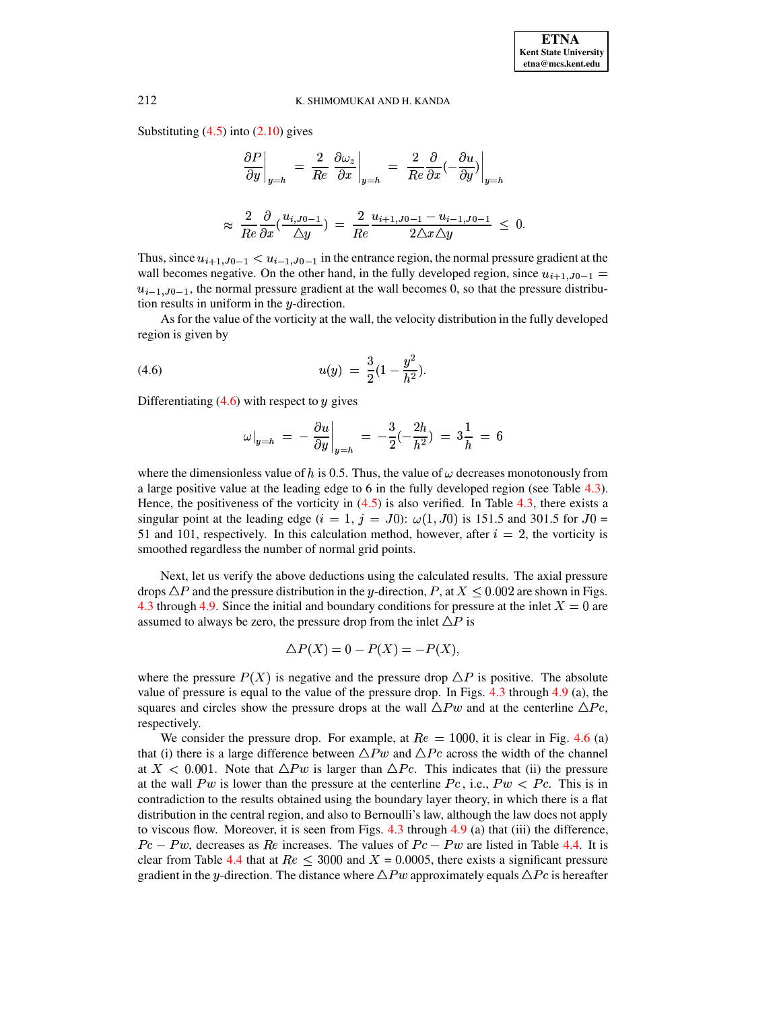Substituting  $(4.5)$  into  $(2.10)$  gives

$$
\frac{\partial P}{\partial y}\Big|_{y=h} = \frac{2}{Re} \left. \frac{\partial \omega_z}{\partial x} \right|_{y=h} = \left. \frac{2}{Re} \frac{\partial}{\partial x} \left( -\frac{\partial u}{\partial y} \right) \right|_{y=h}
$$

$$
\approx \left. \frac{2}{Re} \frac{\partial}{\partial x} \left( \frac{u_{i,J0-1}}{\Delta y} \right) \right|_{x=h} = \frac{2}{Re} \frac{u_{i+1,J0-1} - u_{i-1,J0-1}}{2 \Delta x \Delta y} \leq 0.
$$

Thus, since  $u_{i+1,J_0-1} < u_{i-1,J_0-1}$  in the entrance region, the normal pressure gradient at the wall becomes negative. On the other hand, in the fully developed region, since  $u_{i+1,J_0-1} =$  $u_{i-1}$ ,  $I_{0-1}$ , the normal pressure gradient at the wall becomes 0, so that the pressure distribution results in uniform in the  $y$ -direction.

As for the value of the vorticity at the wall, the velocity distribution in the fully developed region is given by

(4.6) 
$$
u(y) = \frac{3}{2}(1 - \frac{y^2}{h^2}).
$$

Differentiating  $(4.6)$  with respect to y gives

<span id="page-10-0"></span>
$$
\omega|_{y=h} \; = \; - \; \frac{\partial u}{\partial y}\bigg|_{y=h} \; = \; - \frac{3}{2}(-\frac{2h}{h^2}) \; = \; 3\frac{1}{h} \; = \; 6
$$

where the dimensionless value of h is 0.5. Thus, the value of  $\omega$  decreases monotonously from a large positive value at the leading edge to  $6$  in the fully developed region (see Table  $4.3$ ). Hence, the positiveness of the vorticity in  $(4.5)$  is also verified. In Table 4.3, there exists a singular point at the leading edge  $(i = 1, j = J0)$ :  $\omega(1, J0)$  is 151.5 and 301.5 for  $J0 =$ 51 and 101, respectively. In this calculation method, however, after  $i = 2$ , the vorticity is smoothed regardless the number of normal grid points.

Next, let us verify the above deductions using the calculated results. The axial pressure drops  $\Delta P$  and the pressure distribution in the y-direction, P, at  $X \le 0.002$  are shown in Figs. 4.3 through 4.9. Since the initial and boundary conditions for pressure at the inlet  $X = 0$  are assumed to always be zero, the pressure drop from the inlet  $\Delta P$  is

$$
\Delta P(X) = 0 - P(X) = -P(X),
$$

where the pressure  $P(X)$  is negative and the pressure drop  $\Delta P$  is positive. The absolute value of pressure is equal to the value of the pressure drop. In Figs.  $4.3$  through  $4.9$  (a), the squares and circles show the pressure drops at the wall  $\triangle P w$  and at the centerline  $\triangle P c$ , respectively.

We consider the pressure drop. For example, at  $Re = 1000$ , it is clear in Fig. 4.6 (a) that (i) there is a large difference between  $\triangle P w$  and  $\triangle P c$  across the width of the channel at  $X < 0.001$ . Note that  $\Delta P w$  is larger than  $\Delta P c$ . This indicates that (ii) the pressure at the wall Pw is lower than the pressure at the centerline  $Pc$ , i.e.,  $Pw < Pe$ . This is in contradiction to the results obtained using the boundary layer theory, in which there is a flat distribution in the central region, and also to Bernoulli's law, although the law does not apply to viscous flow. Moreover, it is seen from Figs. 4.3 through  $4.9$  (a) that (iii) the difference,  $Pc - Pw$ , decreases as Re increases. The values of  $Pc - Pw$  are listed in Table 4.4. It is clear from Table 4.4 that at  $Re \leq 3000$  and  $X = 0.0005$ , there exists a significant pressure gradient in the y-direction. The distance where  $\triangle P w$  approximately equals  $\triangle P c$  is hereafter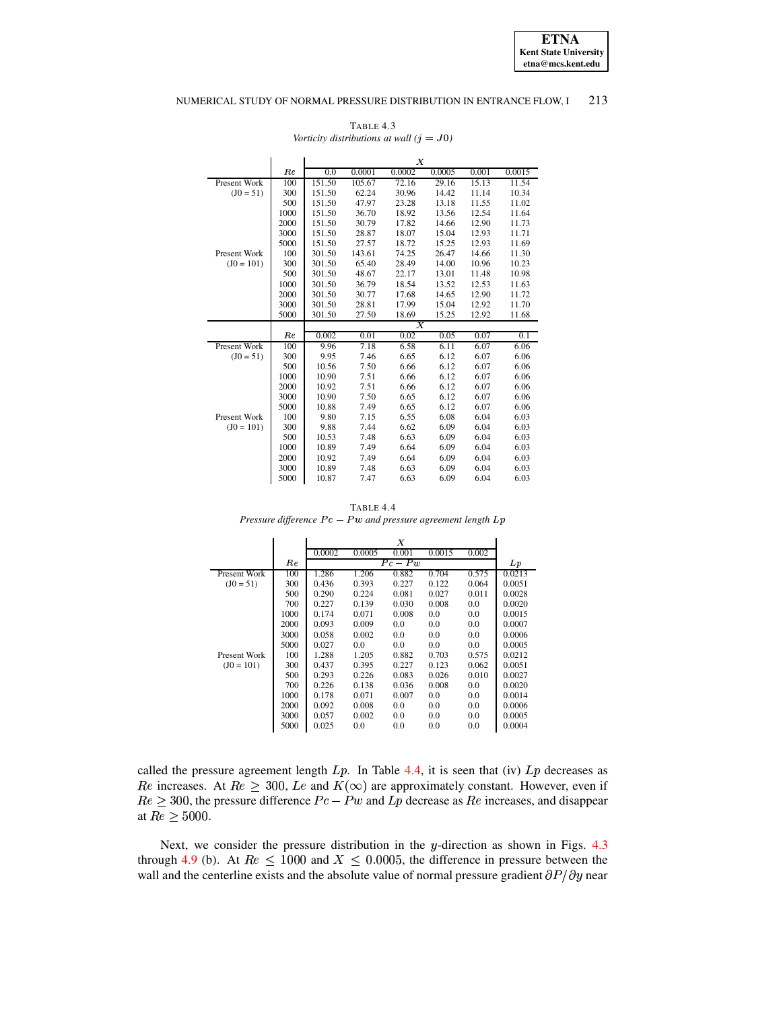**ETNA Kent State University etna@mcs.kent.edu**

## NUMERICAL STUDY OF NORMAL PRESSURE DISTRIBUTION IN ENTRANCE FLOW, I 213

TABLE 4.3 *Vorticity distributions at wall*  $(j = J0)$ 

<span id="page-11-0"></span>

|              |         | $\boldsymbol{X}$ |        |                |        |       |        |
|--------------|---------|------------------|--------|----------------|--------|-------|--------|
|              | $_{Re}$ | 0.0              | 0.0001 | 0.0002         | 0.0005 | 0.001 | 0.0015 |
| Present Work | 100     | 151.50           | 105.67 | 72.16          | 29.16  | 15.13 | 11.54  |
| $(J0 = 51)$  | 300     | 151.50           | 62.24  | 30.96          | 14.42  | 11.14 | 10.34  |
|              | 500     | 151.50           | 47.97  | 23.28          | 13.18  | 11.55 | 11.02  |
|              | 1000    | 151.50           | 36.70  | 18.92          | 13.56  | 12.54 | 11.64  |
|              | 2000    | 151.50           | 30.79  | 17.82          | 14.66  | 12.90 | 11.73  |
|              | 3000    | 151.50           | 28.87  | 18.07          | 15.04  | 12.93 | 11.71  |
|              | 5000    | 151.50           | 27.57  | 18.72          | 15.25  | 12.93 | 11.69  |
| Present Work | 100     | 301.50           | 143.61 | 74.25          | 26.47  | 14.66 | 11.30  |
| $(J0 = 101)$ | 300     | 301.50           | 65.40  | 28.49          | 14.00  | 10.96 | 10.23  |
|              | 500     | 301.50           | 48.67  | 22.17          | 13.01  | 11.48 | 10.98  |
|              | 1000    | 301.50           | 36.79  | 18.54          | 13.52  | 12.53 | 11.63  |
|              | 2000    | 301.50           | 30.77  | 17.68          | 14.65  | 12.90 | 11.72  |
|              | 3000    | 301.50           | 28.81  | 17.99          | 15.04  | 12.92 | 11.70  |
|              | 5000    | 301.50           | 27.50  | 18.69          | 15.25  | 12.92 | 11.68  |
|              |         |                  |        | $\overline{X}$ |        |       |        |
|              | Re      | 0.002            | 0.01   | 0.02           | 0.05   | 0.07  | 0.1    |
| Present Work | 100     | 9.96             | 7.18   | 6.58           | 6.11   | 6.07  | 6.06   |
| $(J0 = 51)$  | 300     | 9.95             | 7.46   | 6.65           | 6.12   | 6.07  | 6.06   |
|              | 500     | 10.56            | 7.50   | 6.66           | 6.12   | 6.07  | 6.06   |
|              | 1000    | 10.90            | 7.51   | 6.66           | 6.12   | 6.07  | 6.06   |
|              | 2000    | 10.92            | 7.51   | 6.66           | 6.12   | 6.07  | 6.06   |
|              | 3000    | 10.90            | 7.50   | 6.65           | 6.12   | 6.07  | 6.06   |
|              | 5000    | 10.88            | 7.49   | 6.65           | 6.12   | 6.07  | 6.06   |
| Present Work | 100     | 9.80             | 7.15   | 6.55           | 6.08   | 6.04  | 6.03   |
| $(J0 = 101)$ | 300     | 9.88             | 7.44   | 6.62           | 6.09   | 6.04  | 6.03   |
|              | 500     | 10.53            | 7.48   | 6.63           | 6.09   | 6.04  | 6.03   |
|              | 1000    | 10.89            | 7.49   | 6.64           | 6.09   | 6.04  | 6.03   |
|              | 2000    | 10.92            | 7.49   | 6.64           | 6.09   | 6.04  | 6.03   |
|              | 3000    | 10.89            | 7.48   | 6.63           | 6.09   | 6.04  | 6.03   |
|              | 5000    | 10.87            | 7.47   | 6.63           | 6.09   | 6.04  | 6.03   |

TABLE 4.4 *Pressure difference*  $Pc - Pw$  *and pressure agreement length Lp* 

<span id="page-11-1"></span>

|              |      | Χ      |        |           |        |       |        |
|--------------|------|--------|--------|-----------|--------|-------|--------|
|              |      | 0.0002 | 0.0005 | 0.001     | 0.0015 | 0.002 |        |
|              | Re   |        |        | $Pc - Pw$ |        |       | Lp     |
| Present Work | 100  | 1.286  | 1.206  | 0.882     | 0.704  | 0.575 | 0.0213 |
| $(J0 = 51)$  | 300  | 0.436  | 0.393  | 0.227     | 0.122  | 0.064 | 0.0051 |
|              | 500  | 0.290  | 0.224  | 0.081     | 0.027  | 0.011 | 0.0028 |
|              | 700  | 0.227  | 0.139  | 0.030     | 0.008  | 0.0   | 0.0020 |
|              | 1000 | 0.174  | 0.071  | 0.008     | 0.0    | 0.0   | 0.0015 |
|              | 2000 | 0.093  | 0.009  | 0.0       | 0.0    | 0.0   | 0.0007 |
|              | 3000 | 0.058  | 0.002  | 0.0       | 0.0    | 0.0   | 0.0006 |
|              | 5000 | 0.027  | 0.0    | 0.0       | 0.0    | 0.0   | 0.0005 |
| Present Work | 100  | 1.288  | 1.205  | 0.882     | 0.703  | 0.575 | 0.0212 |
| $(J0 = 101)$ | 300  | 0.437  | 0.395  | 0.227     | 0.123  | 0.062 | 0.0051 |
|              | 500  | 0.293  | 0.226  | 0.083     | 0.026  | 0.010 | 0.0027 |
|              | 700  | 0.226  | 0.138  | 0.036     | 0.008  | 0.0   | 0.0020 |
|              | 1000 | 0.178  | 0.071  | 0.007     | 0.0    | 0.0   | 0.0014 |
|              | 2000 | 0.092  | 0.008  | 0.0       | 0.0    | 0.0   | 0.0006 |
|              | 3000 | 0.057  | 0.002  | 0.0       | 0.0    | 0.0   | 0.0005 |
|              | 5000 | 0.025  | 0.0    | 0.0       | 0.0    | 0.0   | 0.0004 |

called the pressure agreement length  $Lp$ . In Table [4.4,](#page-11-1) it is seen that (iv)  $Lp$  decreases as *Re* increases. At  $Re \geq 300$ , Le and  $K(\infty)$  are approximately constant. However, even if  $Re \geq 300$ , the pressure difference  $Pe-Pw$  and  $Lp$  decrease as  $Re$  increases, and disappear at  $Re \geq 5000.$ 

Next, we consider the pressure distribution in the  $y$ -direction as shown in Figs. [4.3](#page-12-0) through [4.9](#page-15-10) (b). At  $Re \leq 1000$  and  $X \leq 0.0005$ , the difference in pressure between the wall and the centerline exists and the absolute value of normal pressure gradient  $\partial P/\partial y$  near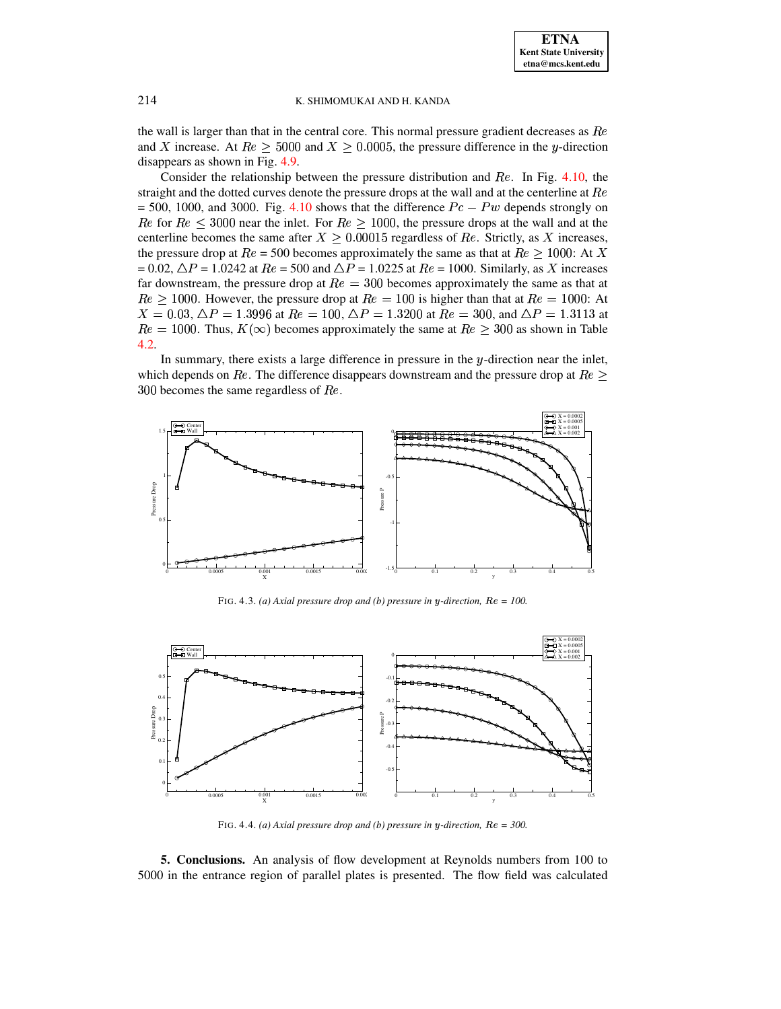the wall is larger than that in the central core. This normal pressure gradient decreases as  $Re$ and X increase. At  $Re \ge 5000$  and  $X \ge 0.0005$ , the pressure difference in the y-direction disappears as shown in Fig. 4.9.

Consider the relationship between the pressure distribution and  $Re$ . In Fig. 4.10, the straight and the dotted curves denote the pressure drops at the wall and at the centerline at  $Re$  $=$  500, 1000, and 3000. Fig. 4.10 shows that the difference  $Pc - Pw$  depends strongly on Re for  $Re \leq 3000$  near the inlet. For  $Re \geq 1000$ , the pressure drops at the wall and at the centerline becomes the same after  $X > 0.00015$  regardless of Re. Strictly, as X increases, the pressure drop at  $Re = 500$  becomes approximately the same as that at  $Re > 1000$ : At X  $= 0.02$ ,  $\Delta P = 1.0242$  at  $Re = 500$  and  $\Delta P = 1.0225$  at  $Re = 1000$ . Similarly, as X increases far downstream, the pressure drop at  $Re = 300$  becomes approximately the same as that at  $Re \ge 1000$ . However, the pressure drop at  $Re = 100$  is higher than that at  $Re = 1000$ : At  $X = 0.03$ ,  $\Delta P = 1.3996$  at  $Re = 100$ ,  $\Delta P = 1.3200$  at  $Re = 300$ , and  $\Delta P = 1.3113$  at  $Re = 1000$ . Thus,  $K(\infty)$  becomes approximately the same at  $Re \ge 300$  as shown in Table  $4.2.$ 

In summary, there exists a large difference in pressure in the  $y$ -direction near the inlet, which depends on Re. The difference disappears downstream and the pressure drop at  $Re \geq$ 300 becomes the same regardless of  $Re$ .



FIG. 4.3. (a) Axial pressure drop and (b) pressure in y-direction,  $Re = 100$ .

<span id="page-12-0"></span>

FIG. 4.4. (a) Axial pressure drop and (b) pressure in y-direction,  $Re = 300$ .

5. Conclusions. An analysis of flow development at Reynolds numbers from 100 to 5000 in the entrance region of parallel plates is presented. The flow field was calculated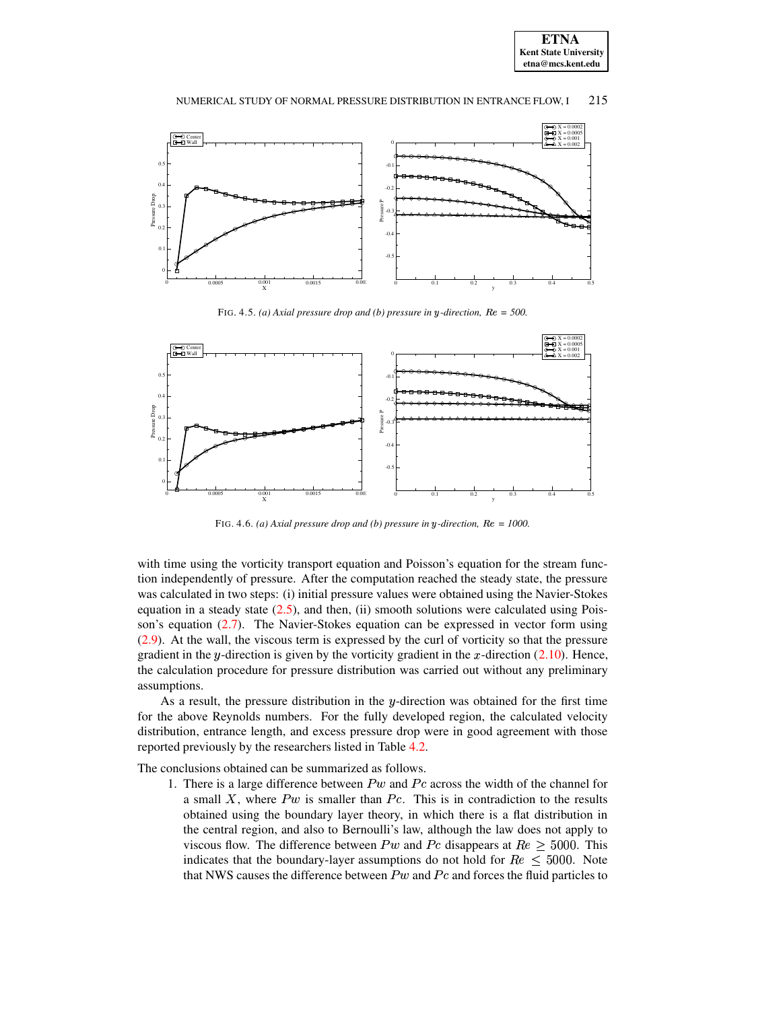



FIG. 4.5. *(a)* Axial pressure drop and *(b)* pressure in y-direction,  $Re = 500$ .



FIG. 4.6. *(a)* Axial pressure drop and *(b)* pressure in y-direction,  $Re = 1000$ .

<span id="page-13-0"></span>with time using the vorticity transport equation and Poisson's equation for the stream function independently of pressure. After the computation reached the steady state, the pressure was calculated in two steps: (i) initial pressure values were obtained using the Navier-Stokes equation in a steady state  $(2.5)$ , and then, (ii) smooth solutions were calculated using Poisson's equation  $(2.7)$ . The Navier-Stokes equation can be expressed in vector form using [\(2.9\)](#page-4-0). At the wall, the viscous term is expressed by the curl of vorticity so that the pressure gradient in the y-direction is given by the vorticity gradient in the x-direction  $(2.10)$ . Hence, the calculation procedure for pressure distribution was carried out without any preliminary assumptions.

As a result, the pressure distribution in the  $y$ -direction was obtained for the first time for the above Reynolds numbers. For the fully developed region, the calculated velocity distribution, entrance length, and excess pressure drop were in good agreement with those reported previously by the researchers listed in Table [4.2.](#page-8-0)

The conclusions obtained can be summarized as follows.

1. There is a large difference between  $P_w$  and  $P_c$  across the width of the channel for a small  $X$ , where  $Pw$  is smaller than  $Pc$ . This is in contradiction to the results obtained using the boundary layer theory, in which there is a flat distribution in the central region, and also to Bernoulli's law, although the law does not apply to viscous flow. The difference between  $P_w$  and  $P_c$  disappears at  $Re \geq 5000$ . This indicates that the boundary-layer assumptions do not hold for  $Re \leq 5000$ . Note that NWS causes the difference between  $P w$  and  $P c$  and forces the fluid particles to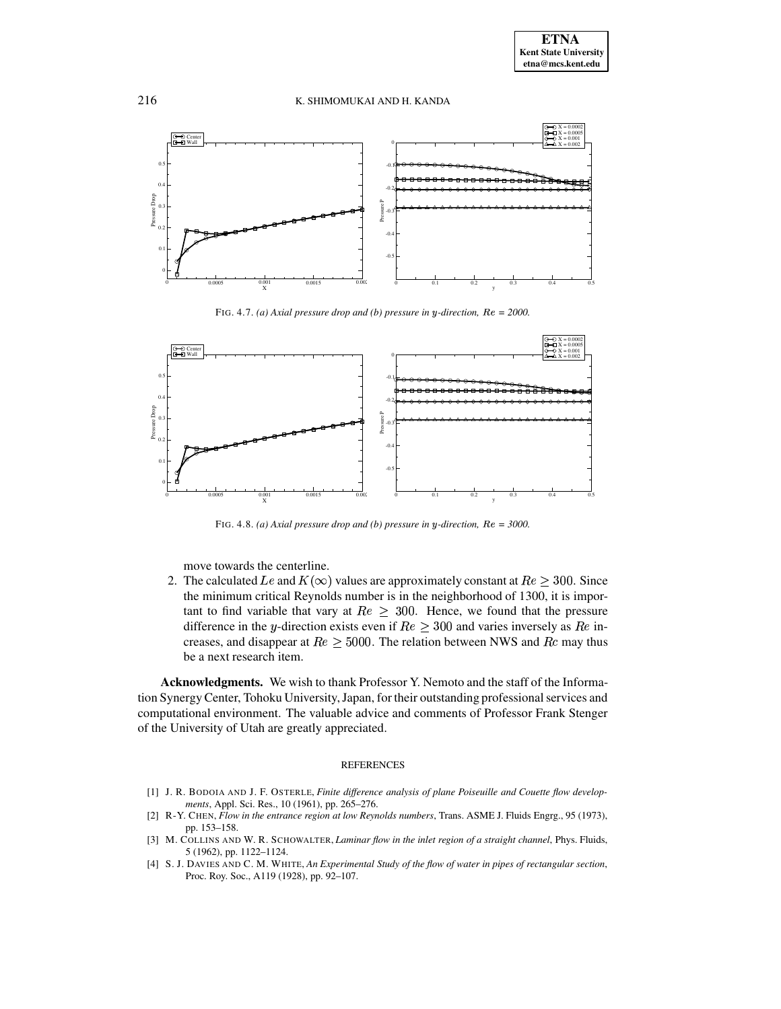

FIG. 4.7. *(a)* Axial pressure drop and *(b)* pressure in y-direction,  $Re = 2000$ .



FIG. 4.8. *(a) Axial pressure drop and <i>(b) pressure in y-direction,*  $Re = 3000$ .

move towards the centerline.

2. The calculated Le and  $K(\infty)$  values are approximately constant at  $Re \geq 300$ . Since the minimum critical Reynolds number is in the neighborhood of 1300, it is important to find variable that vary at  $Re \geq 300$ . Hence, we found that the pressure difference in the y-direction exists even if  $Re \geq 300$  and varies inversely as  $Re$  increases, and disappear at  $Re \geq 5000$ . The relation between NWS and  $Re$  may thus be a next research item.

**Acknowledgments.** We wish to thank Professor Y. Nemoto and the staff of the Information SynergyCenter, Tohoku University,Japan, for their outstanding professionalservices and computational environment. The valuable advice and comments of Professor Frank Stenger of the University of Utah are greatly appreciated.

# REFERENCES

- [1] J. R. BODOIA AND J. F. OSTERLE, *Finite difference analysis of plane Poiseuille and Couette flow developments*, Appl. Sci. Res., 10 (1961), pp. 265–276.
- <span id="page-14-0"></span>[2] R-Y. CHEN, *Flow in the entrance region at low Reynolds numbers*, Trans. ASME J. Fluids Engrg., 95 (1973), pp. 153–158.
- [3] M. COLLINS AND W. R. SCHOWALTER, *Laminar flow in the inlet region of a straight channel*, Phys. Fluids, 5 (1962), pp. 1122–1124.
- <span id="page-14-1"></span>[4] S. J. DAVIES AND C. M. WHITE, *An Experimental Study of the flow of water in pipes of rectangular section*, Proc. Roy. Soc., A119 (1928), pp. 92–107.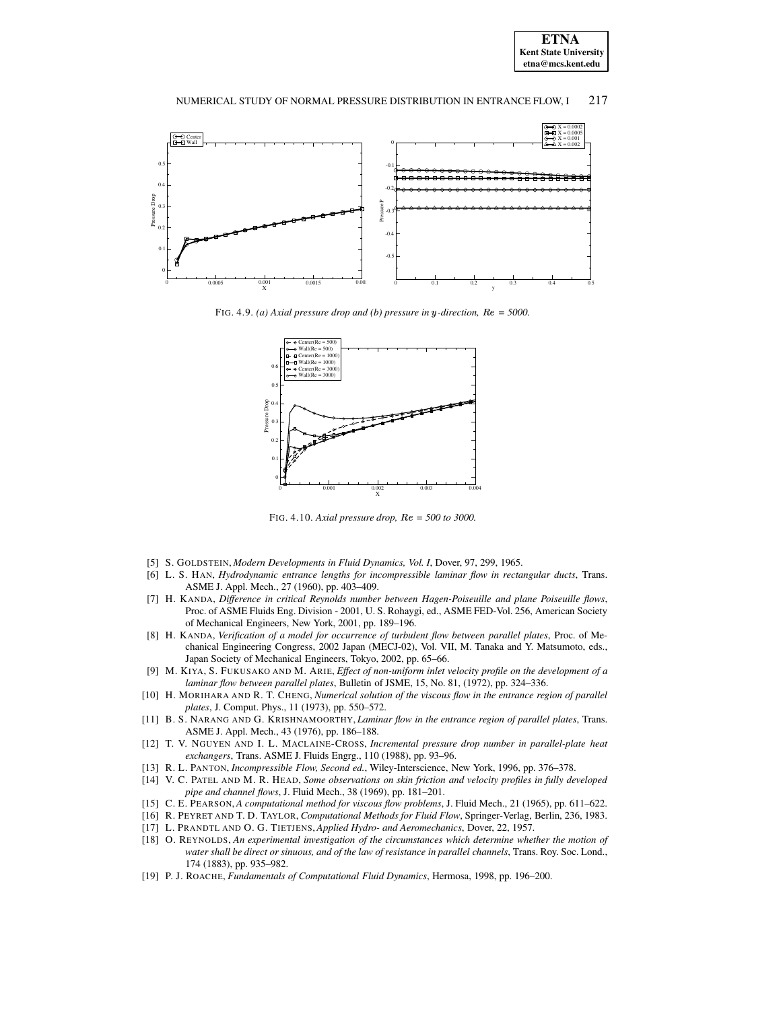



<span id="page-15-10"></span>FIG. 4.9. *(a)* Axial pressure drop and *(b)* pressure in y-direction,  $Re = 5000$ .



<span id="page-15-11"></span>FIG. 4.10. *Axial pressure drop, = 500 to3000.*

- <span id="page-15-0"></span>[5] S. GOLDSTEIN, *Modern Developments in Fluid Dynamics, Vol. I*, Dover, 97, 299, 1965.
- [6] L. S. HAN, *Hydrodynamic entrance lengths for incompressible laminar flow in rectangular ducts*, Trans. ASME J. Appl. Mech., 27 (1960), pp. 403–409.
- [7] H. KANDA, *Difference in critical Reynolds number between Hagen-Poiseuille and plane Poiseuille flows*, Proc. of ASME Fluids Eng. Division - 2001, U. S. Rohaygi, ed., ASME FED-Vol. 256, American Society of Mechanical Engineers, New York, 2001, pp. 189–196.
- <span id="page-15-3"></span>[8] H. KANDA, *Verification of a model for occurrence of turbulent flow between parallel plates*, Proc. of Mechanical Engineering Congress, 2002 Japan (MECJ-02), Vol. VII, M. Tanaka and Y. Matsumoto, eds., Japan Society of Mechanical Engineers, Tokyo, 2002, pp. 65–66.
- [9] M. KIYA, S. FUKUSAKO AND M. ARIE, *Effect of non-uniform inlet velocity profile on the development of a laminar flow between parallel plates*, Bulletin of JSME, 15, No. 81, (1972), pp. 324–336.
- <span id="page-15-6"></span>[10] H. MORIHARA AND R. T. CHENG, *Numerical solution of the viscous flow in the entrance region of parallel plates*, J. Comput. Phys., 11 (1973), pp. 550–572.
- [11] B. S. NARANG AND G. KRISHNAMOORTHY, *Laminar flow in the entrance region of parallel plates*, Trans. ASME J. Appl. Mech., 43 (1976), pp. 186–188.
- [12] T. V. NGUYEN AND I. L. MACLAINE-CROSS, *Incremental pressure drop number in parallel-plate heat exchangers*, Trans. ASME J. Fluids Engrg., 110 (1988), pp. 93–96.
- <span id="page-15-7"></span><span id="page-15-1"></span>[13] R. L. PANTON, *Incompressible Flow, Second ed.*, Wiley-Interscience, New York, 1996, pp. 376–378.
- [14] V. C. PATEL AND M. R. HEAD, *Some observations on skin friction and velocity profiles in fully developed pipe and channel flows*, J. Fluid Mech., 38 (1969), pp. 181–201.
- <span id="page-15-9"></span><span id="page-15-4"></span>[15] C. E. PEARSON, *A computational method for viscous flow problems*, J. Fluid Mech., 21 (1965), pp. 611–622.
- <span id="page-15-5"></span>[16] R. PEYRET AND T. D. TAYLOR, *Computational Methods for Fluid Flow*, Springer-Verlag, Berlin, 236, 1983.
- <span id="page-15-2"></span>[17] L. PRANDTL AND O. G. TIETJENS, *Applied Hydro- and Aeromechanics*, Dover, 22, 1957.
- [18] O. REYNOLDS, *An experimental investigation of the circumstances which determine whether the motion of water shall be direct or sinuous, and of the law of resistance in parallel channels*, Trans. Roy. Soc. Lond., 174 (1883), pp. 935–982.
- <span id="page-15-8"></span>[19] P. J. ROACHE, *Fundamentals of Computational Fluid Dynamics*, Hermosa, 1998, pp. 196–200.